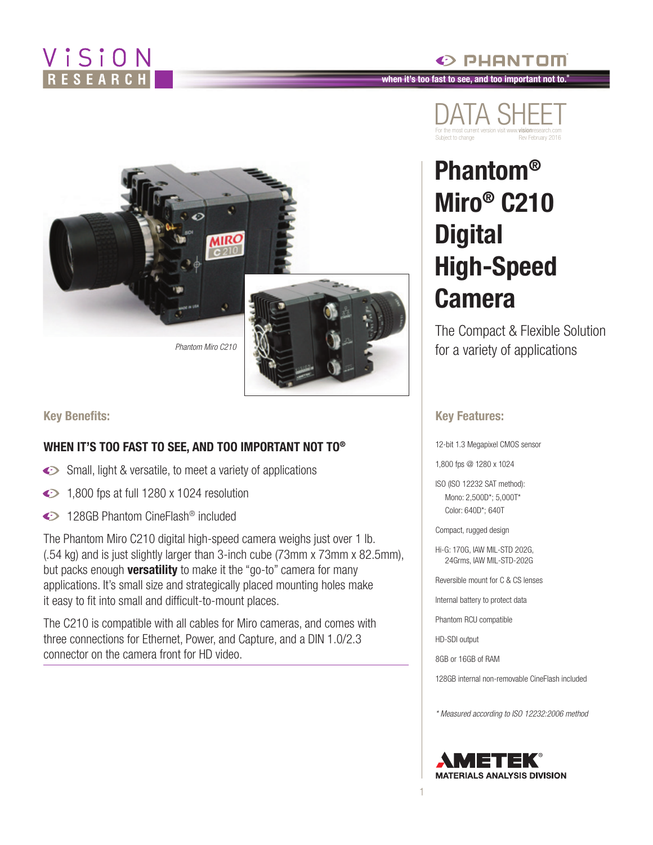### ViSiON ESEARC

#### $\odot$  PHANTOM **when it's too fast to see, and too important not to.®**



**Key Benefits:**

#### **WHEN IT'S TOO FAST TO SEE, AND TOO IMPORTANT NOT TO®**

- Small, light & versatile, to meet a variety of applications
- $\bigodot$  1,800 fps at full 1280 x 1024 resolution
- ◆ 128GB Phantom CineFlash<sup>®</sup> included

The Phantom Miro C210 digital high-speed camera weighs just over 1 lb. (.54 kg) and is just slightly larger than 3-inch cube (73mm x 73mm x 82.5mm), but packs enough **versatility** to make it the "go-to" camera for many applications. It's small size and strategically placed mounting holes make it easy to fit into small and difficult-to-mount places.

The C210 is compatible with all cables for Miro cameras, and comes with three connections for Ethernet, Power, and Capture, and a DIN 1.0/2.3 connector on the camera front for HD video.



## **Phantom® Miro® C210 Digital High-Speed Camera**

The Compact & Flexible Solution for a variety of applications

#### **Key Features:**

12-bit 1.3 Megapixel CMOS sensor

1,800 fps @ 1280 x 1024

ISO (ISO 12232 SAT method): Mono: 2,500D\*; 5,000T\* Color: 640D\*; 640T

Compact, rugged design

Hi-G: 170G, IAW MIL-STD 202G, 24Grms, IAW MIL-STD-202G

Reversible mount for C & CS lenses

Internal battery to protect data

Phantom RCU compatible

HD-SDI output

1

8GB or 16GB of RAM

128GB internal non-removable CineFlash included

*\* Measured according to ISO 12232:2006 method* 

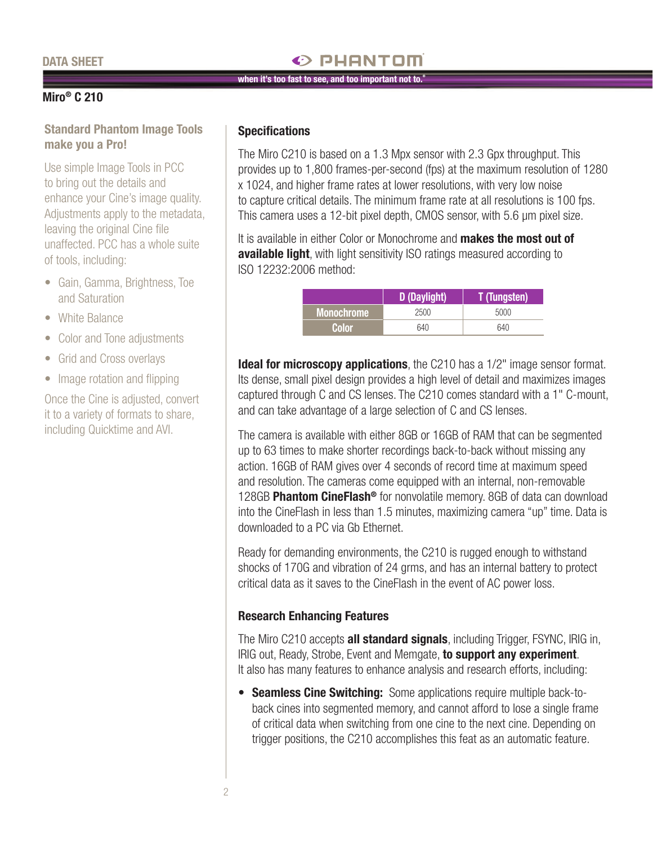#### **DATA SHEET**

#### $\odot$  PHANTOM

#### **when it's too fast to see, and too important not to.®**

#### **Miro® C 210**

#### **Standard Phantom Image Tools make you a Pro!**

Use simple Image Tools in PCC to bring out the details and enhance your Cine's image quality. Adjustments apply to the metadata, leaving the original Cine file unaffected. PCC has a whole suite of tools, including:

- Gain, Gamma, Brightness, Toe and Saturation
- White Balance
- Color and Tone adjustments
- Grid and Cross overlays
- Image rotation and flipping

Once the Cine is adjusted, convert it to a variety of formats to share, including Quicktime and AVI.

#### **Specifications**

The Miro C210 is based on a 1.3 Mpx sensor with 2.3 Gpx throughput. This provides up to 1,800 frames-per-second (fps) at the maximum resolution of 1280 x 1024, and higher frame rates at lower resolutions, with very low noise to capture critical details. The minimum frame rate at all resolutions is 100 fps. This camera uses a 12-bit pixel depth, CMOS sensor, with 5.6 μm pixel size.

It is available in either Color or Monochrome and **makes the most out of available light**, with light sensitivity ISO ratings measured according to ISO 12232:2006 method:

|            | D (Daylight) | <b>T</b> (Tungsten) |
|------------|--------------|---------------------|
| Monochrome | 2500         | 5000                |
| Color      | 640          | 640                 |

**Ideal for microscopy applications**, the C210 has a 1/2" image sensor format. Its dense, small pixel design provides a high level of detail and maximizes images captured through C and CS lenses. The C210 comes standard with a 1" C-mount, and can take advantage of a large selection of C and CS lenses.

The camera is available with either 8GB or 16GB of RAM that can be segmented up to 63 times to make shorter recordings back-to-back without missing any action. 16GB of RAM gives over 4 seconds of record time at maximum speed and resolution. The cameras come equipped with an internal, non-removable 128GB **Phantom CineFlash®** for nonvolatile memory. 8GB of data can download into the CineFlash in less than 1.5 minutes, maximizing camera "up" time. Data is downloaded to a PC via Gb Ethernet.

Ready for demanding environments, the C210 is rugged enough to withstand shocks of 170G and vibration of 24 grms, and has an internal battery to protect critical data as it saves to the CineFlash in the event of AC power loss.

#### **Research Enhancing Features**

The Miro C210 accepts **all standard signals**, including Trigger, FSYNC, IRIG in, IRIG out, Ready, Strobe, Event and Memgate, **to support any experiment**. It also has many features to enhance analysis and research efforts, including:

**• Seamless Cine Switching:** Some applications require multiple back-toback cines into segmented memory, and cannot afford to lose a single frame of critical data when switching from one cine to the next cine. Depending on trigger positions, the C210 accomplishes this feat as an automatic feature.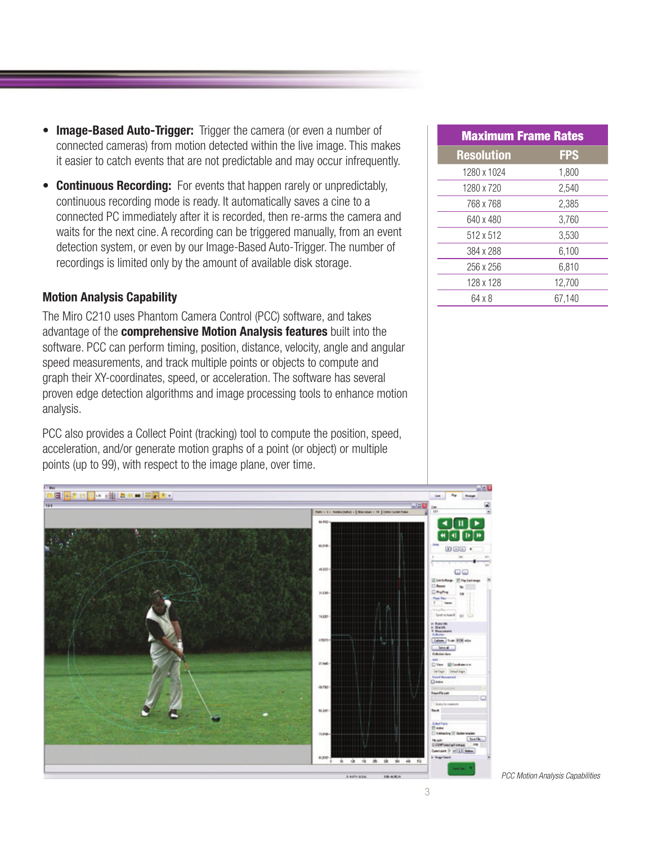- **• Image-Based Auto-Trigger:** Trigger the camera (or even a number of connected cameras) from motion detected within the live image. This makes it easier to catch events that are not predictable and may occur infrequently.
- **• Continuous Recording:** For events that happen rarely or unpredictably, continuous recording mode is ready. It automatically saves a cine to a connected PC immediately after it is recorded, then re-arms the camera and waits for the next cine. A recording can be triggered manually, from an event detection system, or even by our Image-Based Auto-Trigger. The number of recordings is limited only by the amount of available disk storage.

#### **Motion Analysis Capability**

The Miro C210 uses Phantom Camera Control (PCC) software, and takes advantage of the **comprehensive Motion Analysis features** built into the software. PCC can perform timing, position, distance, velocity, angle and angular speed measurements, and track multiple points or objects to compute and graph their XY-coordinates, speed, or acceleration. The software has several proven edge detection algorithms and image processing tools to enhance motion analysis.

PCC also provides a Collect Point (tracking) tool to compute the position, speed, acceleration, and/or generate motion graphs of a point (or object) or multiple points (up to 99), with respect to the image plane, over time.



| <b>Maximum Frame Rates</b> |            |  |
|----------------------------|------------|--|
| <b>Resolution</b>          | <b>FPS</b> |  |
| 1280 x 1024                | 1,800      |  |
| 1280 x 720                 | 2,540      |  |
| 768 x 768                  | 2,385      |  |
| 640 x 480                  | 3,760      |  |
| 512 x 512                  | 3.530      |  |
| 384 x 288                  | 6,100      |  |
| 256 x 256                  | 6,810      |  |
| 128 x 128                  | 12,700     |  |
| 64 x 8                     | 67,140     |  |